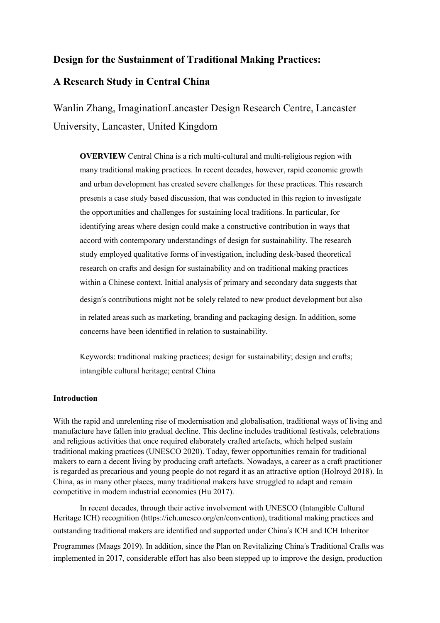# **Design for the Sustainment of Traditional Making Practices:**

# **A Research Study in Central China**

Wanlin Zhang, ImaginationLancaster Design Research Centre, Lancaster University, Lancaster, United Kingdom

**OVERVIEW** Central China is a rich multi-cultural and multi-religious region with many traditional making practices. In recent decades, however, rapid economic growth and urban development has created severe challenges for these practices. This research presents a case study based discussion, that was conducted in this region to investigate the opportunities and challenges for sustaining local traditions. In particular, for identifying areas where design could make a constructive contribution in ways that accord with contemporary understandings of design for sustainability. The research study employed qualitative forms of investigation, including desk-based theoretical research on crafts and design for sustainability and on traditional making practices within a Chinese context. Initial analysis of primary and secondary data suggests that design's contributions might not be solely related to new product development but also in related areas such as marketing, branding and packaging design. In addition, some concerns have been identified in relation to sustainability.

Keywords: traditional making practices; design for sustainability; design and crafts; intangible cultural heritage; central China

### **Introduction**

With the rapid and unrelenting rise of modernisation and globalisation, traditional ways of living and manufacture have fallen into gradual decline. This decline includes traditional festivals, celebrations and religious activities that once required elaborately crafted artefacts, which helped sustain traditional making practices (UNESCO 2020). Today, fewer opportunities remain for traditional makers to earn a decent living by producing craft artefacts. Nowadays, a career as a craft practitioner is regarded as precarious and young people do not regard it as an attractive option (Holroyd 2018). In China, as in many other places, many traditional makers have struggled to adapt and remain competitive in modern industrial economies (Hu 2017).

In recent decades, through their active involvement with UNESCO (Intangible Cultural Heritage ICH) recognition [\(https://ich.unesco.org/en/convention\)](https://ich.unesco.org/en/convention), traditional making practices and outstanding traditional makers are identified and supported under China's ICH and ICH Inheritor Programmes (Maags 2019). In addition, since the Plan on Revitalizing China's Traditional Crafts was implemented in 2017, considerable effort has also been stepped up to improve the design, production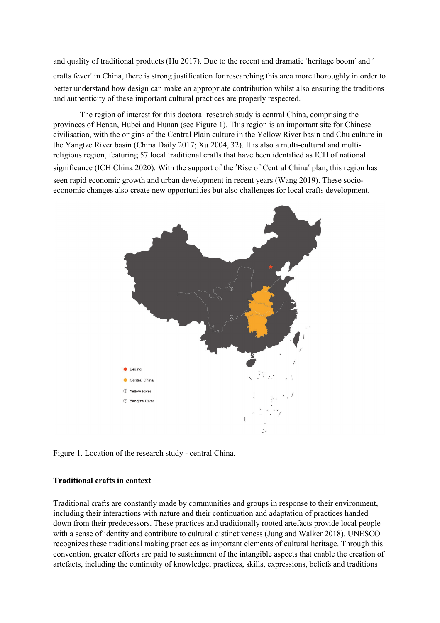and quality of traditional products (Hu 2017). Due to the recent and dramatic 'heritage boom' and ' crafts fever' in China, there is strong justification for researching this area more thoroughly in order to better understand how design can make an appropriate contribution whilst also ensuring the traditions and authenticity of these important cultural practices are properly respected.

The region of interest for this doctoral research study is central China, comprising the provinces of Henan, Hubei and Hunan (see Figure 1). This region is an important site for Chinese civilisation, with the origins of the Central Plain culture in the Yellow River basin and Chu culture in the Yangtze River basin (China Daily 2017; Xu 2004, 32). It is also a multi-cultural and multireligious region, featuring 57 local traditional crafts that have been identified as ICH of national significance (ICH China 2020). With the support of the 'Rise of Central China' plan, this region has seen rapid economic growth and urban development in recent years (Wang 2019). These socioeconomic changes also create new opportunities but also challenges for local crafts development.



Figure 1. Location of the research study - central China.

### **Traditional crafts in context**

Traditional crafts are constantly made by communities and groups in response to their environment, including their interactions with nature and their continuation and adaptation of practices handed down from their predecessors. These practices and traditionally rooted artefacts provide local people with a sense of identity and contribute to cultural distinctiveness (Jung and Walker 2018). UNESCO recognizes these traditional making practices as important elements of cultural heritage. Through this convention, greater efforts are paid to sustainment of the intangible aspects that enable the creation of artefacts, including the continuity of knowledge, practices, skills, expressions, beliefs and traditions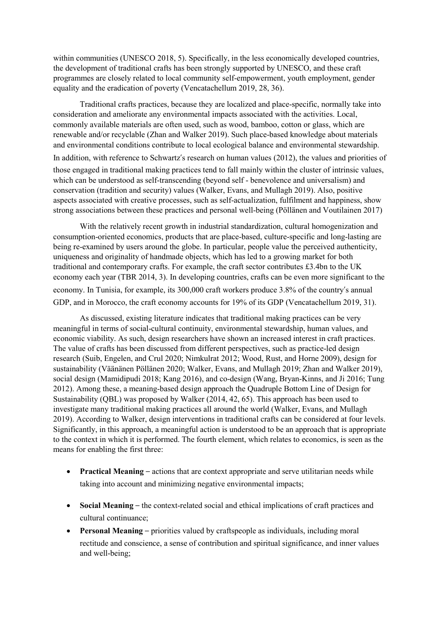within communities (UNESCO 2018, 5). Specifically, in the less economically developed countries, the development of traditional crafts has been strongly supported by UNESCO, and these craft programmes are closely related to local community self-empowerment, youth employment, gender equality and the eradication of poverty (Vencatachellum 2019, 28, 36).

Traditional crafts practices, because they are localized and place-specific, normally take into consideration and ameliorate any environmental impacts associated with the activities. Local, commonly available materials are often used, such as wood, bamboo, cotton or glass, which are renewable and/or recyclable (Zhan and Walker 2019). Such place-based knowledge about materials and environmental conditions contribute to local ecological balance and environmental stewardship. In addition, with reference to Schwartz's research on human values (2012), the values and priorities of those engaged in traditional making practices tend to fall mainly within the cluster of intrinsic values, which can be understood as self-transcending (beyond self - benevolence and universalism) and conservation (tradition and security) values (Walker, Evans, and Mullagh 2019). Also, positive aspects associated with creative processes, such as self-actualization, fulfilment and happiness, show

With the relatively recent growth in industrial standardization, cultural homogenization and consumption-oriented economics, products that are place-based, culture-specific and long-lasting are being re-examined by users around the globe. In particular, people value the perceived authenticity, uniqueness and originality of handmade objects, which has led to a growing market for both traditional and contemporary crafts. For example, the craft sector contributes £3.4bn to the UK economy each year (TBR 2014, 3). In developing countries, crafts can be even more significant to the economy. In Tunisia, for example, its 300,000 craft workers produce 3.8% of the country's annual GDP, and in Morocco, the craft economy accounts for 19% of its GDP (Vencatachellum 2019, 31).

strong associations between these practices and personal well-being (Pöllänen and Voutilainen 2017)

As discussed, existing literature indicates that traditional making practices can be very meaningful in terms of social-cultural continuity, environmental stewardship, human values, and economic viability. As such, design researchers have shown an increased interest in craft practices. The value of crafts has been discussed from different perspectives, such as practice-led design research (Suib, Engelen, and Crul 2020; Nimkulrat 2012; Wood, Rust, and Horne 2009), design for sustainability (Väänänen Pöllänen 2020; Walker, Evans, and Mullagh 2019; Zhan and Walker 2019), social design (Mamidipudi 2018; Kang 2016), and co-design (Wang, Bryan-Kinns, and Ji 2016; Tung 2012). Among these, a meaning-based design approach the Quadruple Bottom Line of Design for Sustainability (QBL) was proposed by Walker (2014, 42, 65). This approach has been used to investigate many traditional making practices all around the world (Walker, Evans, and Mullagh 2019). According to Walker, design interventions in traditional crafts can be considered at four levels. Significantly, in this approach, a meaningful action is understood to be an approach that is appropriate to the context in which it is performed. The fourth element, which relates to economics, is seen as the means for enabling the first three:

- **Practical Meaning** actions that are context appropriate and serve utilitarian needs while taking into account and minimizing negative environmental impacts;
- **Social Meaning**  the context-related social and ethical implications of craft practices and cultural continuance;
- **Personal Meaning** priorities valued by craftspeople as individuals, including moral rectitude and conscience, a sense of contribution and spiritual significance, and inner values and well-being;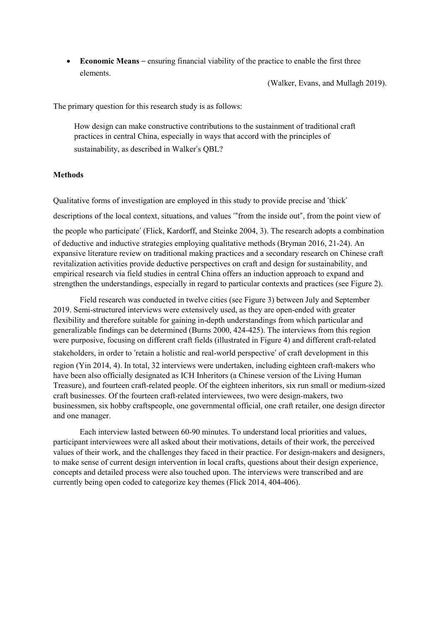• **Economic Means** – ensuring financial viability of the practice to enable the first three elements.

(Walker, Evans, and Mullagh 2019).

The primary question for this research study is as follows:

How design can make constructive contributions to the sustainment of traditional craft practices in central China, especially in ways that accord with the principles of sustainability, as described in Walker's QBL?

# **Methods**

Qualitative forms of investigation are employed in this study to provide precise and 'thick' descriptions of the local context, situations, and values '"from the inside out", from the point view of the people who participate' (Flick, Kardorff, and Steinke 2004, 3). The research adopts a combination of deductive and inductive strategies employing qualitative methods (Bryman 2016, 21-24). An expansive literature review on traditional making practices and a secondary research on Chinese craft revitalization activities provide deductive perspectives on craft and design for sustainability, and empirical research via field studies in central China offers an induction approach to expand and strengthen the understandings, especially in regard to particular contexts and practices (see Figure 2).

Field research was conducted in twelve cities (see Figure 3) between July and September 2019. Semi-structured interviews were extensively used, as they are open-ended with greater flexibility and therefore suitable for gaining in-depth understandings from which particular and generalizable findings can be determined (Burns 2000, 424-425). The interviews from this region were purposive, focusing on different craft fields (illustrated in Figure 4) and different craft-related stakeholders, in order to 'retain a holistic and real-world perspective' of craft development in this region (Yin 2014, 4). In total, 32 interviews were undertaken, including eighteen craft-makers who have been also officially designated as ICH Inheritors (a Chinese version of the Living Human Treasure), and fourteen craft-related people. Of the eighteen inheritors, six run small or medium-sized craft businesses. Of the fourteen craft-related interviewees, two were design-makers, two businessmen, six hobby craftspeople, one governmental official, one craft retailer, one design director and one manager.

Each interview lasted between 60-90 minutes. To understand local priorities and values, participant interviewees were all asked about their motivations, details of their work, the perceived values of their work, and the challenges they faced in their practice. For design-makers and designers, to make sense of current design intervention in local crafts, questions about their design experience, concepts and detailed process were also touched upon. The interviews were transcribed and are currently being open coded to categorize key themes (Flick 2014, 404-406).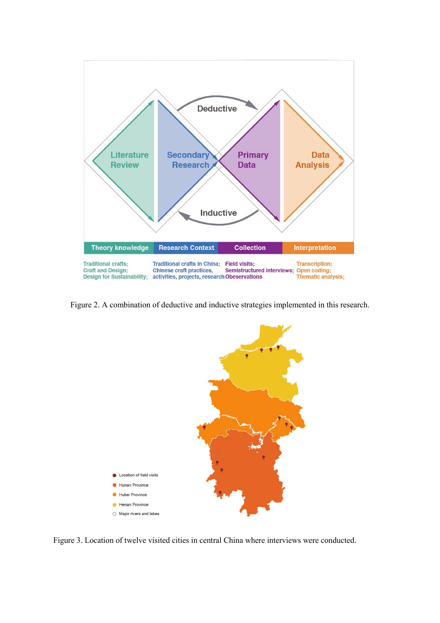

Figure 2. A combination of deductive and inductive strategies implemented in this research.



Figure 3. Location of twelve visited cities in central China where interviews were conducted.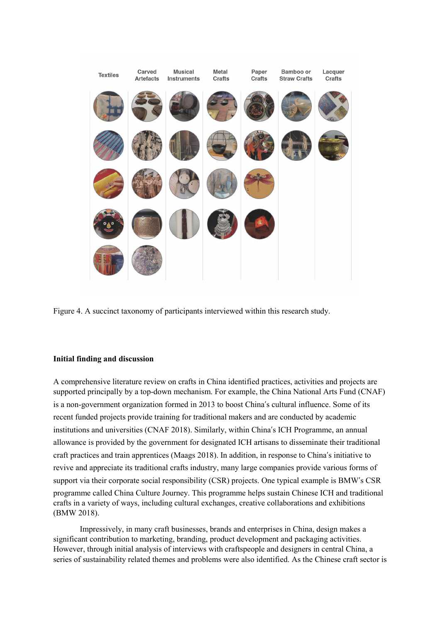

Figure 4. A succinct taxonomy of participants interviewed within this research study.

### **Initial finding and discussion**

A comprehensive literature review on crafts in China identified practices, activities and projects are supported principally by a top-down mechanism. For example, the China National Arts Fund (CNAF) is a non-government organization formed in 2013 to boost China's cultural influence. Some of its recent funded projects provide training for traditional makers and are conducted by academic institutions and universities (CNAF 2018). Similarly, within China's ICH Programme, an annual allowance is provided by the government for designated ICH artisans to disseminate their traditional craft practices and train apprentices (Maags 2018). In addition, in response to China's initiative to revive and appreciate its traditional crafts industry, many large companies provide various forms of support via their corporate social responsibility (CSR) projects. One typical example is BMW's CSR programme called China Culture Journey. This programme helps sustain Chinese ICH and traditional crafts in a variety of ways, including cultural exchanges, creative collaborations and exhibitions (BMW 2018).

Impressively, in many craft businesses, brands and enterprises in China, design makes a significant contribution to marketing, branding, product development and packaging activities. However, through initial analysis of interviews with craftspeople and designers in central China, a series of sustainability related themes and problems were also identified. As the Chinese craft sector is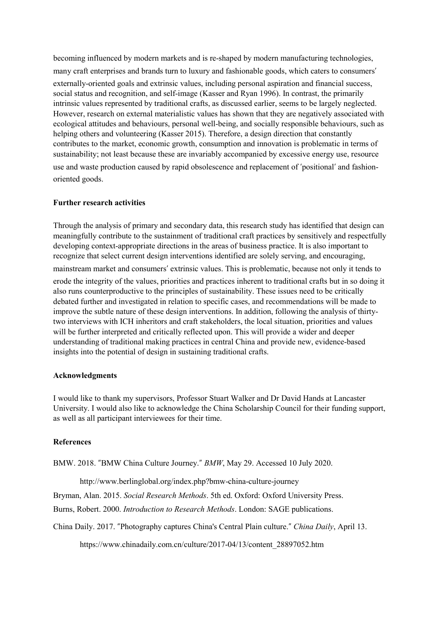becoming influenced by modern markets and is re-shaped by modern manufacturing technologies, many craft enterprises and brands turn to luxury and fashionable goods, which caters to consumers' externally-oriented goals and extrinsic values, including personal aspiration and financial success, social status and recognition, and self-image (Kasser and Ryan 1996). In contrast, the primarily intrinsic values represented by traditional crafts, as discussed earlier, seems to be largely neglected. However, research on external materialistic values has shown that they are negatively associated with ecological attitudes and behaviours, personal well-being, and socially responsible behaviours, such as helping others and volunteering (Kasser 2015). Therefore, a design direction that constantly contributes to the market, economic growth, consumption and innovation is problematic in terms of sustainability; not least because these are invariably accompanied by excessive energy use, resource use and waste production caused by rapid obsolescence and replacement of 'positional' and fashionoriented goods.

## **Further research activities**

Through the analysis of primary and secondary data, this research study has identified that design can meaningfully contribute to the sustainment of traditional craft practices by sensitively and respectfully developing context-appropriate directions in the areas of business practice. It is also important to recognize that select current design interventions identified are solely serving, and encouraging,

mainstream market and consumers' extrinsic values. This is problematic, because not only it tends to erode the integrity of the values, priorities and practices inherent to traditional crafts but in so doing it also runs counterproductive to the principles of sustainability. These issues need to be critically debated further and investigated in relation to specific cases, and recommendations will be made to improve the subtle nature of these design interventions. In addition, following the analysis of thirtytwo interviews with ICH inheritors and craft stakeholders, the local situation, priorities and values will be further interpreted and critically reflected upon. This will provide a wider and deeper understanding of traditional making practices in central China and provide new, evidence-based insights into the potential of design in sustaining traditional crafts.

### **Acknowledgments**

I would like to thank my supervisors, Professor Stuart Walker and Dr David Hands at Lancaster University. I would also like to acknowledge the China Scholarship Council for their funding support, as well as all participant interviewees for their time.

# **References**

BMW. 2018. "BMW China Culture Journey." *BMW*, May 29. Accessed 10 July 2020.

<http://www.berlinglobal.org/index.php?bmw-china-culture-journey>

Bryman, Alan. 2015. *Social Research Methods*. 5th ed. Oxford: Oxford University Press.

Burns, Robert. 2000. *Introduction to Research Methods*. London: SAGE publications.

China Daily. 2017. "Photography captures China's Central Plain culture." *China Daily*, April 13.

[https://www.chinadaily.com.cn/culture/2017-04/13/content\\_28897052.htm](https://www.chinadaily.com.cn/culture/2017-04/13/content_28897052.htm)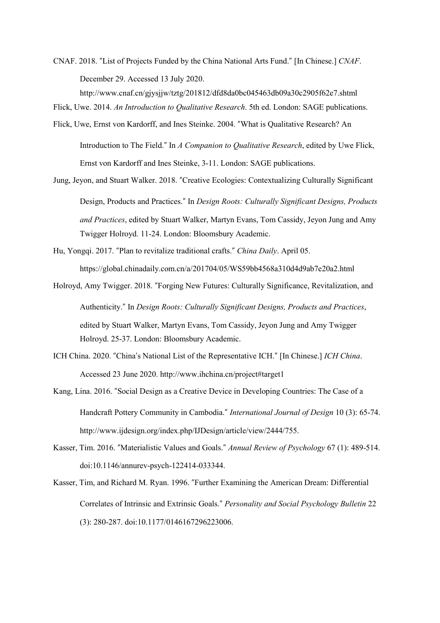CNAF. 2018. "List of Projects Funded by the China National Arts Fund." [In Chinese.] *CNAF*. December 29. Accessed 13 July 2020.

<http://www.cnaf.cn/gjysjjw/tztg/201812/dfd8da0bc045463db09a30c2905f62e7.shtml>

- Flick, Uwe. 2014. *An Introduction to Qualitative Research*. 5th ed. London: SAGE publications.
- Flick, Uwe, Ernst von Kardorff, and Ines Steinke. 2004. "What is Qualitative Research? An Introduction to The Field." In *A Companion to Qualitative Research*, edited by Uwe Flick, Ernst von Kardorff and Ines Steinke, 3-11. London: SAGE publications.
- Jung, Jeyon, and Stuart Walker. 2018. "Creative Ecologies: Contextualizing Culturally Significant Design, Products and Practices." In *Design Roots: Culturally Significant Designs, Products and Practices*, edited by Stuart Walker, Martyn Evans, Tom Cassidy, Jeyon Jung and Amy Twigger Holroyd. 11-24. London: Bloomsbury Academic.
- Hu, Yongqi. 2017. "Plan to revitalize traditional crafts." *China Daily*. April 05. <https://global.chinadaily.com.cn/a/201704/05/WS59bb4568a310d4d9ab7e20a2.html>
- Holroyd, Amy Twigger. 2018. "Forging New Futures: Culturally Significance, Revitalization, and Authenticity." In *Design Roots: Culturally Significant Designs, Products and Practices*, edited by Stuart Walker, Martyn Evans, Tom Cassidy, Jeyon Jung and Amy Twigger Holroyd. 25-37. London: Bloomsbury Academic.
- ICH China. 2020. "China's National List of the Representative ICH." [In Chinese.] *ICH China*. Accessed 23 June 2020. http://www.ihchina.cn/project#target1
- Kang, Lina. 2016. "Social Design as a Creative Device in Developing Countries: The Case of a Handcraft Pottery Community in Cambodia." *International Journal of Design* 10 (3): 65-74. [http://www.ijdesign.org/index.php/IJDesign/article/view/2444/755.](http://www.ijdesign.org/index.php/IJDesign/article/view/2444/755)
- Kasser, Tim. 2016. "Materialistic Values and Goals." *Annual Review of Psychology* 67 (1): 489-514. doi:10.1146/annurev-psych-122414-033344.
- Kasser, Tim, and Richard M. Ryan. 1996. "Further Examining the American Dream: Differential Correlates of Intrinsic and Extrinsic Goals." *Personality and Social Psychology Bulletin* 22 (3): 280-287. doi:10.1177/0146167296223006.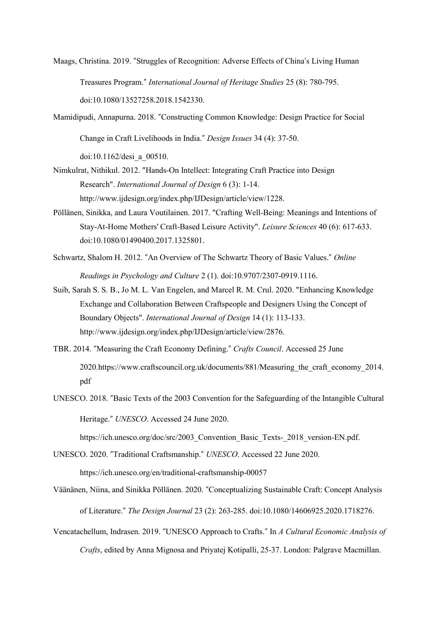- Maags, Christina. 2019. "Struggles of Recognition: Adverse Effects of China's Living Human Treasures Program." *International Journal of Heritage Studies* 25 (8): 780-795. doi:10.1080/13527258.2018.1542330.
- Mamidipudi, Annapurna. 2018. "Constructing Common Knowledge: Design Practice for Social Change in Craft Livelihoods in India." *Design Issues* 34 (4): 37-50. doi:10.1162/desi\_a\_00510.
- Nimkulrat, Nithikul. 2012. "Hands-On Intellect: Integrating Craft Practice into Design Research". *International Journal of Design* 6 (3): 1-14. http://www.ijdesign.org/index.php/IJDesign/article/view/1228.
- Pöllänen, Sinikka, and Laura Voutilainen. 2017. "Crafting Well-Being: Meanings and Intentions of Stay-At-Home Mothers' Craft-Based Leisure Activity". *Leisure Sciences* 40 (6): 617-633. doi:10.1080/01490400.2017.1325801.
- Schwartz, Shalom H. 2012. "An Overview of The Schwartz Theory of Basic Values." *Online Readings in Psychology and Culture* 2 (1). doi:10.9707/2307-0919.1116.
- Suib, Sarah S. S. B., Jo M. L. Van Engelen, and Marcel R. M. Crul. 2020. "Enhancing Knowledge Exchange and Collaboration Between Craftspeople and Designers Using the Concept of Boundary Objects". *International Journal of Design* 14 (1): 113-133. http://www.ijdesign.org/index.php/IJDesign/article/view/2876.
- TBR. 2014. "Measuring the Craft Economy Defining." *Crafts Council*. Accessed 25 June 202[0.https://www.craftscouncil.org.uk/documents/881/Measuring\\_the\\_craft\\_economy\\_2014.](https://www.craftscouncil.org.uk/documents/881/Measuring_the_craft_economy_2014.pdf) [pdf](https://www.craftscouncil.org.uk/documents/881/Measuring_the_craft_economy_2014.pdf)
- UNESCO. 2018. "Basic Texts of the 2003 Convention for the Safeguarding of the Intangible Cultural Heritage." *UNESCO*. Accessed 24 June 2020.

[https://ich.unesco.org/doc/src/2003\\_Convention\\_Basic\\_Texts-\\_2018\\_version-EN.pdf.](https://ich.unesco.org/doc/src/2003_Convention_Basic_Texts-_2018_version-EN.pdf)

UNESCO. 2020. "Traditional Craftsmanship." *UNESCO*. Accessed 22 June 2020. <https://ich.unesco.org/en/traditional-craftsmanship-00057>

- Väänänen, Niina, and Sinikka Pöllänen. 2020. "Conceptualizing Sustainable Craft: Concept Analysis of Literature." *The Design Journal* 23 (2): 263-285. doi:10.1080/14606925.2020.1718276.
- Vencatachellum, Indrasen. 2019. "UNESCO Approach to Crafts." In *A Cultural Economic Analysis of Crafts*, edited by Anna Mignosa and [Priyatej Kotipalli,](https://www.amazon.co.uk/s/ref=dp_byline_sr_ebooks_2?ie=UTF8&field-author=Priyatej+Kotipalli&text=Priyatej+Kotipalli&sort=relevancerank&search-alias=digital-text) 25-37. London: Palgrave Macmillan.